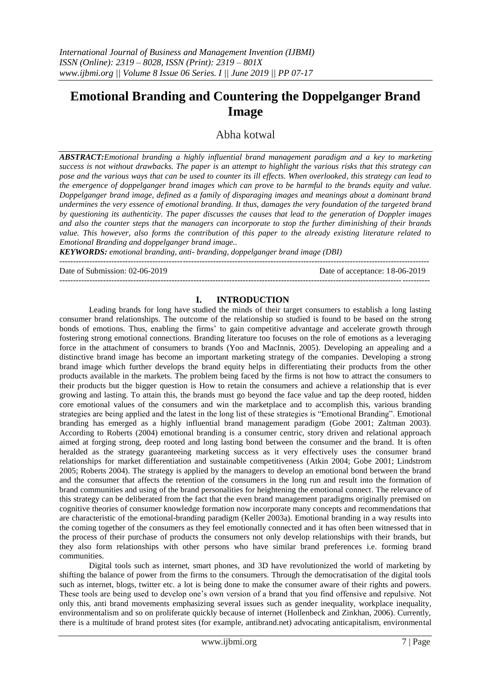# **Emotional Branding and Countering the Doppelganger Brand Image**

Abha kotwal

*ABSTRACT:Emotional branding a highly influential brand management paradigm and a key to marketing success is not without drawbacks. The paper is an attempt to highlight the various risks that this strategy can pose and the various ways that can be used to counter its ill effects. When overlooked, this strategy can lead to the emergence of doppelganger brand images which can prove to be harmful to the brands equity and value. Doppelganger brand image, defined as a family of disparaging images and meanings about a dominant brand undermines the very essence of emotional branding. It thus, damages the very foundation of the targeted brand by questioning its authenticity. The paper discusses the causes that lead to the generation of Doppler images and also the counter steps that the managers can incorporate to stop the further diminishing of their brands value. This however, also forms the contribution of this paper to the already existing literature related to Emotional Branding and doppelganger brand image..* 

*KEYWORDS: emotional branding, anti- branding, doppelganger brand image (DBI)*

Date of Submission: 02-06-2019 Date of acceptance: 18-06-2019

---------------------------------------------------------------------------------------------------------------------------------------

# ---------------------------------------------------------------------------------------------------------------------------------------

**I. INTRODUCTION** Leading brands for long have studied the minds of their target [consumers](http://www.brandingstrategyinsider.com/2015/08/brands-equity-measurement.html) to establish a long lasting consumer brand relationships. The outcome of the relationship so studied is found to be based on the strong bonds of emotions. Thus, enabling the firms" to gain competitive advantage and accelerate growth through fostering strong emotional connections. Branding literature too focuses on the role of emotions as a leveraging force in the attachment of consumers to brands (Yoo and MacInnis, 2005). Developing an appealing and a distinctive brand image has become an important marketing strategy of the companies. Developing a strong brand image which further develops the brand equity helps in differentiating their products from the other products available in the markets. The problem being faced by the firms is not how to attract the consumers to their products but the bigger question is How to retain the consumers and achieve a relationship that is ever growing and lasting. To attain this, the brands must go beyond the face value and tap the deep rooted, hidden core emotional values of the consumers and win the marketplace and to accomplish this, various branding strategies are being applied and the latest in the long list of these strategies is "Emotional Branding". Emotional branding has emerged as a highly influential brand management paradigm (Gobe 2001; Zaltman 2003). According to Roberts (2004) emotional branding is a consumer centric, story driven and relational approach aimed at forging strong, deep rooted and long lasting bond between the consumer and the brand. It is often heralded as the strategy guaranteeing marketing success as it very effectively uses the consumer brand relationships for market differentiation and sustainable competitiveness (Atkin 2004; Gobe 2001; Lindstrom 2005; Roberts 2004). The strategy is applied by the managers to develop an emotional bond between the brand and the consumer that affects the retention of the consumers in the long run and result into the formation of brand communities and using of the brand personalities for heightening the emotional connect. The relevance of this strategy can be deliberated from the fact that the even brand management paradigms originally premised on cognitive theories of consumer knowledge formation now incorporate many concepts and recommendations that are characteristic of the emotional-branding paradigm (Keller 2003a). Emotional branding in a way results into the coming together of the consumers as they feel emotionally connected and it has often been witnessed that in the process of their purchase of products the consumers not only develop relationships with their brands, but they also form relationships with other persons who have similar brand preferences i.e. forming brand communities.

Digital tools such as internet, smart phones, and 3D have revolutionized the world of marketing by shifting the balance of power from the firms to the consumers. Through the democratisation of the digital tools such as internet, blogs, twitter etc. a lot is being done to make the consumer aware of their rights and powers. These tools are being used to develop one"s own version of a brand that you find offensive and repulsive. Not only this, anti brand movements emphasizing several issues such as gender inequality, workplace inequality, environmentalism and so on proliferate quickly because of internet (Hollenbeck and Zinkhan, 2006). Currently, there is a multitude of brand protest sites (for example, antibrand.net) advocating anticapitalism, environmental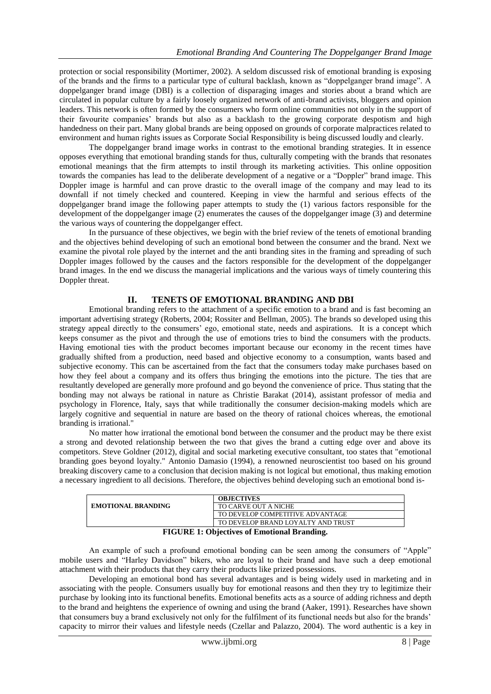protection or social responsibility (Mortimer, 2002). A seldom discussed risk of emotional branding is exposing of the brands and the firms to a particular type of cultural backlash, known as "doppelganger brand image". A doppelganger brand image (DBI) is a collection of disparaging images and stories about a brand which are circulated in popular culture by a fairly loosely organized network of anti-brand activists, bloggers and opinion leaders. This network is often formed by the consumers who form online communities not only in the support of their favourite companies" brands but also as a backlash to the growing corporate despotism and high handedness on their part. Many global brands are being opposed on grounds of corporate malpractices related to environment and human rights issues as Corporate Social Responsibility is being discussed loudly and clearly.

The doppelganger brand image works in contrast to the emotional branding strategies. It in essence opposes everything that emotional branding stands for thus, culturally competing with the brands that resonates emotional meanings that the firm attempts to instil through its marketing activities. This online opposition towards the companies has lead to the deliberate development of a negative or a "Doppler" brand image. This Doppler image is harmful and can prove drastic to the overall image of the company and may lead to its downfall if not timely checked and countered. Keeping in view the harmful and serious effects of the doppelganger brand image the following paper attempts to study the (1) various factors responsible for the development of the doppelganger image (2) enumerates the causes of the doppelganger image (3) and determine the various ways of countering the doppelganger effect.

In the pursuance of these objectives, we begin with the brief review of the tenets of emotional branding and the objectives behind developing of such an emotional bond between the consumer and the brand. Next we examine the pivotal role played by the internet and the anti branding sites in the framing and spreading of such Doppler images followed by the causes and the factors responsible for the development of the doppelganger brand images. In the end we discuss the managerial implications and the various ways of timely countering this Doppler threat.

#### **II. TENETS OF EMOTIONAL BRANDING AND DBI**

Emotional branding refers to the attachment of a specific emotion to a brand and is fast becoming an important advertising strategy (Roberts, 2004; Rossiter and Bellman, 2005). The brands so developed using this strategy appeal directly to the consumers" ego, emotional state, needs and aspirations. It is a concept which keeps consumer as the pivot and through the use of emotions tries to bind the consumers with the products. Having emotional ties with the product becomes important because our economy in the recent times have gradually shifted from a production, need based and objective economy to a consumption, wants based and subjective economy. This can be ascertained from the fact that the consumers today make purchases based on how they feel about a company and its offers thus bringing the emotions into the picture. The ties that are resultantly developed are generally more profound and go beyond the convenience of price. Thus stating that the bonding may not always be rational in nature as Christie Barakat (2014), assistant professor of media and psychology in Florence, Italy, says that while traditionally the consumer decision-making models which are largely cognitive and sequential in nature are based on the theory of rational choices whereas, the emotional branding is irrational."

No matter how irrational the emotional bond between the consumer and the product may be there exist a strong and devoted relationship between the two that gives the brand a cutting edge over and above its competitors. Steve Goldner (2012), digital and social marketing executive consultant, too states that "emotional branding goes beyond loyalty." Antonio Damasio (1994), a renowned neuroscientist too based on his ground breaking discovery came to a conclusion that decision making is not logical but emotional, thus making emotion a necessary ingredient to all decisions. Therefore, the objectives behind developing such an emotional bond is-

|                               | <b>OBJECTIVES</b>                  |
|-------------------------------|------------------------------------|
| <b>EMOTIONAL BRANDING</b>     | TO CARVE OUT A NICHE               |
|                               | TO DEVELOP COMPETITIVE ADVANTAGE   |
|                               | TO DEVELOP BRAND LOYALTY AND TRUST |
| $\mathbf{r}$<br>$\sim$ $\sim$ |                                    |

#### **FIGURE 1: Objectives of Emotional Branding.**

An example of such a profound emotional bonding can be seen among the consumers of "Apple" mobile users and "Harley Davidson" bikers, who are loyal to their brand and have such a deep emotional attachment with their products that they carry their products like prized possessions.

Developing an emotional bond has several advantages and is being widely used in marketing and in associating with the people. Consumers usually buy for emotional reasons and then they try to legitimize their purchase by looking into its functional benefits. Emotional benefits acts as a source of adding richness and depth to the brand and heightens the experience of owning and using the brand (Aaker, 1991). Researches have shown that consumers buy a brand exclusively not only for the fulfilment of its functional needs but also for the brands" capacity to mirror their values and lifestyle needs (Czellar and Palazzo, 2004). The word authentic is a key in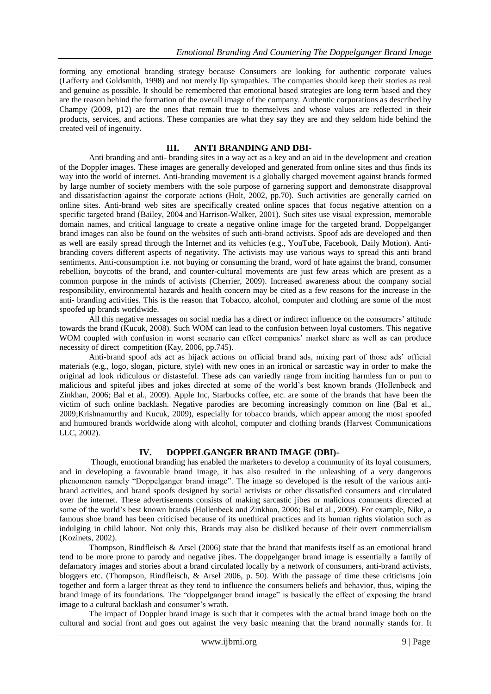forming any emotional branding strategy because Consumers are looking for authentic corporate values (Lafferty and Goldsmith, 1998) and not merely lip sympathies. The companies should keep their stories as real and genuine as possible. It should be remembered that emotional based strategies are long term based and they are the reason behind the formation of the overall image of the company. Authentic corporations as described by Champy (2009, p12) are the ones that remain true to themselves and whose values are reflected in their products, services, and actions. These companies are what they say they are and they seldom hide behind the created veil of ingenuity.

#### **III. ANTI BRANDING AND DBI-**

Anti branding and anti- branding sites in a way act as a key and an aid in the development and creation of the Doppler images. These images are generally developed and generated from online sites and thus finds its way into the world of internet. Anti-branding movement is a globally charged movement against brands formed by large number of society members with the sole purpose of garnering support and demonstrate disapproval and dissatisfaction against the corporate actions (Holt, 2002, pp.70). Such activities are generally carried on online sites. Anti-brand web sites are specifically created online spaces that focus negative attention on a specific targeted brand [\(Bailey,](http://www.sciencedirect.com/science/article/pii/S0148296308002026#bib4) 2004 and [Harrison-Walker,](http://www.sciencedirect.com/science/article/pii/S0148296308002026#bib15) 2001). Such sites use visual expression, memorable domain names, and critical language to create a negative online image for the targeted brand. Doppelganger brand images can also be found on the websites of such anti-brand activists. Spoof ads are developed and then as well are easily spread through the Internet and its vehicles (e.g., YouTube, Facebook, Daily Motion). Antibranding covers different aspects of negativity. The activists may use various ways to spread this anti brand sentiments. Anti-consumption i.e. not buying or consuming the brand, word of hate against the brand, consumer rebellion, boycotts of the brand, and counter-cultural movements are just few areas which are present as a common purpose in the minds of activists (Cherrier, 2009). Increased awareness about the company social responsibility, environmental hazards and health concern may be cited as a few reasons for the increase in the anti- branding activities. This is the reason that Tobacco, alcohol, computer and clothing are some of the most spoofed up brands worldwide.

All this negative messages on social media has a direct or indirect influence on the consumers" attitude towards the brand (Kucuk, 2008). Such WOM can lead to the confusion between loyal customers. This negative WOM coupled with confusion in worst scenario can effect companies' market share as well as can produce necessity of direct competition (Kay, 2006, pp.745).

Anti-brand spoof ads act as hijack actions on official brand ads, mixing part of those ads" official materials (e.g., logo, slogan, picture, style) with new ones in an ironical or sarcastic way in order to make the original ad look ridiculous or distasteful. These ads can variedly range from inciting harmless fun or pun to malicious and spiteful jibes and jokes directed at some of the world"s best known brands (Hollenbeck and Zinkhan, 2006; Bal et al., 2009). Apple Inc, Starbucks coffee, etc. are some of the brands that have been the victim of such online backlash. Negative parodies are becoming increasingly common on line (Bal et al., 2009;Krishnamurthy and Kucuk, 2009), especially for tobacco brands, which appear among the most spoofed and humoured brands worldwide along with alcohol, computer and clothing brands (Harvest Communications LLC, 2002).

#### **IV. DOPPELGANGER BRAND IMAGE (DBI)-**

Though, emotional branding has enabled the marketers to develop a community of its loyal consumers, and in developing a favourable brand image, it has also resulted in the unleashing of a very dangerous phenomenon namely "Doppelganger brand image". The image so developed is the result of the various antibrand activities, and brand spoofs designed by social activists or other dissatisfied consumers and circulated over the internet. These advertisements consists of making sarcastic jibes or malicious comments directed at some of the world"s best known brands (Hollenbeck and Zinkhan, 2006; Bal et al., 2009). For example, Nike, a famous shoe brand has been criticised because of its unethical practices and its human rights violation such as indulging in child labour. Not only this, Brands may also be disliked because of their overt commercialism (Kozinets, 2002).

Thompson, Rindfleisch & Arsel (2006) state that the brand that manifests itself as an emotional brand tend to be more prone to parody and negative jibes. The doppelganger brand image is essentially a family of defamatory images and stories about a brand circulated locally by a network of consumers, anti-brand activists, bloggers etc. (Thompson, Rindfleisch, & Arsel 2006, p. 50). With the passage of time these criticisms join together and form a larger threat as they tend to influence the consumers beliefs and behavior, thus, wiping the brand image of its foundations. The "doppelganger brand image" is basically the effect of exposing the brand image to a cultural backlash and consumer's wrath.

The impact of Doppler brand image is such that it competes with the actual brand image both on the cultural and social front and goes out against the very basic meaning that the brand normally stands for. It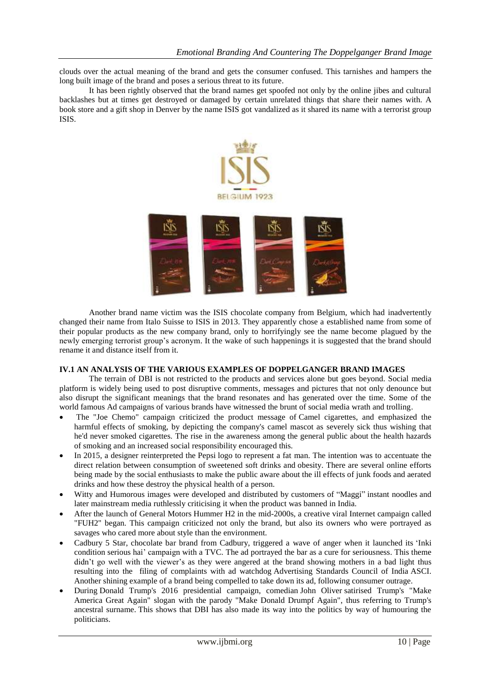clouds over the actual meaning of the brand and gets the consumer confused. This tarnishes and hampers the long built image of the brand and poses a serious threat to its future.

It has been rightly observed that the brand names get spoofed not only by the online jibes and cultural backlashes but at times get destroyed or damaged by certain unrelated things that share their names with. A book store and a gift shop in Denver by the name ISIS got vandalized as it shared its name with a terrorist group ISIS.



Another brand name victim was the ISIS chocolate company from Belgium, which had inadvertently changed their name from Italo Suisse to ISIS in 2013. They apparently chose a established name from some of their popular products as the new company brand, only to horrifyingly see the name become plagued by the newly emerging terrorist group"s acronym. It the wake of such happenings it is suggested that the brand should rename it and distance itself from it.

#### **IV.1 AN ANALYSIS OF THE VARIOUS EXAMPLES OF DOPPELGANGER BRAND IMAGES**

The terrain of DBI is not restricted to the products and services alone but goes beyond. Social media platform is widely being used to post disruptive comments, messages and pictures that not only denounce but also disrupt the significant meanings that the brand resonates and has generated over the time. Some of the world famous Ad campaigns of various brands have witnessed the brunt of social media wrath and trolling.

- The "Joe Chemo" campaign criticized the product message of [Camel cigarettes,](https://en.wikipedia.org/wiki/Camel_cigarettes) and emphasized the harmful effects of smoking, by depicting the company's camel mascot as severely sick thus wishing that he'd never smoked cigarettes. The rise in the awareness among the general public about the health hazards of smoking and an increased social responsibility encouraged this.
- In 2015, a designer reinterpreted the [Pepsi](https://en.wikipedia.org/wiki/Pepsi) logo to represent a fat man. The intention was to accentuate the direct relation between consumption of sweetened soft drinks and [obesity.](https://en.wikipedia.org/wiki/Obesity) There are several online efforts being made by the social enthusiasts to make the public aware about the ill effects of junk foods and aerated drinks and how these destroy the physical health of a person.
- Witty and Humorous images were developed and distributed by customers of ["Maggi"](https://en.wikipedia.org/wiki/Maggi) instant noodles and later mainstream media ruthlessly criticising it when the product was banned in India.
- After the launch of [General Motors](https://en.wikipedia.org/wiki/General_Motors) [Hummer H2](https://en.wikipedia.org/wiki/Hummer_H2) in the mid-2000s, a creative viral Internet campaign called "FUH2" began. This campaign criticized not only the brand, but also its owners who were portrayed as savages who cared more about style than the environment.
- Cadbury 5 Star, chocolate bar brand from Cadbury, triggered a wave of anger when it launched its ["Inki](http://lighthouseinsights.in/cadbury-5-star-conditionserioushai-social-media-campaign.html/)  [condition serious hai" campaign](http://lighthouseinsights.in/cadbury-5-star-conditionserioushai-social-media-campaign.html/) with a TVC. The ad portrayed the bar as a cure for seriousness. This theme didn't go well with the viewer's as they were angered at the brand showing mothers in a bad light thus resulting into the filing of complaints with ad watchdog [Advertising Standards Council of India](http://www.ascionline.org/) ASCI. Another shining example of a brand being compelled to take down its ad, following consumer outrage.
- During [Donald Trump's 2016 presidential campaign,](https://en.wikipedia.org/wiki/Donald_Trump_presidential_campaign,_2016) comedian [John Oliver](https://en.wikipedia.org/wiki/John_Oliver) satirised Trump's ["Make](https://en.wikipedia.org/wiki/Make_America_Great_Again)  [America Great Again"](https://en.wikipedia.org/wiki/Make_America_Great_Again) slogan with the parody "Make Donald Drumpf Again", thus referring to Trump's ancestral surname. This shows that DBI has also made its way into the politics by way of humouring the politicians.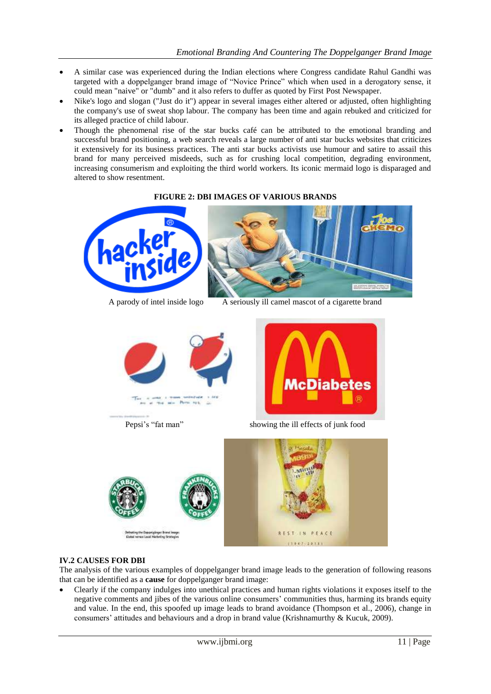- A similar case was experienced during the Indian elections where Congress candidate Rahul Gandhi was targeted with a doppelganger brand image of "Novice Prince" which when used in a derogatory sense, it could mean "naive" or "dumb" and it also refers to duffer as quoted by First Post Newspaper.
- [Nike's](https://en.wikipedia.org/wiki/Nike,_Inc.) logo and slogan ("Just do it") appear in several images either altered or adjusted, often highlighting the company's use of [sweat shop](https://en.wikipedia.org/wiki/Sweat_shop) labour. The company has been time and again rebuked and criticized for its alleged practice of child labour.
- Though the phenomenal rise of the star bucks café can be attributed to the emotional branding and successful brand positioning, a web search reveals a large number of anti star bucks websites that criticizes it extensively for its business practices. The anti star bucks activists use humour and satire to assail this brand for many perceived misdeeds, such as for crushing local competition, degrading environment, increasing consumerism and exploiting the third world workers. Its iconic mermaid logo is disparaged and altered to show resentment.

#### **FIGURE 2: DBI IMAGES OF VARIOUS BRANDS**





A parody of intel inside logo A seriously ill camel mascot of a cigarette brand





Pepsi's "fat man" showing the ill effects of junk food



#### **IV.2 CAUSES FOR DBI**

The analysis of the various examples of doppelganger brand image leads to the generation of following reasons that can be identified as a **cause** for doppelganger brand image:

 Clearly if the company indulges into unethical practices and human rights violations it exposes itself to the negative comments and jibes of the various online consumers" communities thus, harming its brands equity and value. In the end, this spoofed up image leads to brand avoidance (Thompson et al., 2006), change in consumers" attitudes and behaviours and a drop in brand value (Krishnamurthy & Kucuk, 2009).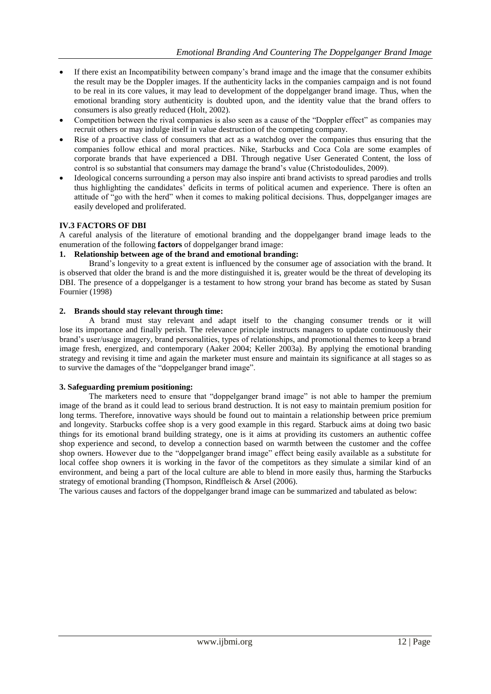- If there exist an Incompatibility between company"s brand image and the image that the consumer exhibits the result may be the Doppler images. If the authenticity lacks in the companies campaign and is not found to be real in its core values, it may lead to development of the doppelganger brand image. Thus, when the emotional branding story authenticity is doubted upon, and the identity value that the brand offers to consumers is also greatly reduced (Holt, 2002).
- Competition between the rival companies is also seen as a cause of the "Doppler effect" as companies may recruit others or may indulge itself in value destruction of the competing company.
- Rise of a proactive class of consumers that act as a watchdog over the companies thus ensuring that the companies follow ethical and moral practices. Nike, Starbucks and Coca Cola are some examples of corporate brands that have experienced a DBI. Through negative User Generated Content, the loss of control is so substantial that consumers may damage the brand"s value (Christodoulides, 2009).
- Ideological concerns surrounding a person may also inspire anti brand activists to spread parodies and trolls thus highlighting the candidates" deficits in terms of political acumen and experience. There is often an attitude of "go with the herd" when it comes to making political decisions. Thus, doppelganger images are easily developed and proliferated.

#### **IV.3 FACTORS OF DBI**

A careful analysis of the literature of emotional branding and the doppelganger brand image leads to the enumeration of the following **factors** of doppelganger brand image:

#### **1. Relationship between age of the brand and emotional branding:**

Brand"s longevity to a great extent is influenced by the consumer age of association with the brand. It is observed that older the brand is and the more distinguished it is, greater would be the threat of developing its DBI. The presence of a doppelganger is a testament to how strong your brand has become as stated by Susan Fournier (1998)

#### **2. Brands should stay relevant through time:**

A brand must stay relevant and adapt itself to the changing consumer trends or it will lose its importance and finally perish. The relevance principle instructs managers to update continuously their brand"s user/usage imagery, brand personalities, types of relationships, and promotional themes to keep a brand image fresh, energized, and contemporary (Aaker 2004; Keller 2003a). By applying the emotional branding strategy and revising it time and again the marketer must ensure and maintain its significance at all stages so as to survive the damages of the "doppelganger brand image".

#### **3. Safeguarding premium positioning:**

The marketers need to ensure that "doppelganger brand image" is not able to hamper the premium image of the brand as it could lead to serious brand destruction. It is not easy to maintain premium position for long terms. Therefore, innovative ways should be found out to maintain a relationship between price premium and longevity. Starbucks coffee shop is a very good example in this regard. Starbuck aims at doing two basic things for its emotional brand building strategy, one is it aims at providing its customers an authentic coffee shop experience and second, to develop a connection based on warmth between the customer and the coffee shop owners. However due to the "doppelganger brand image" effect being easily available as a substitute for local coffee shop owners it is working in the favor of the competitors as they simulate a similar kind of an environment, and being a part of the local culture are able to blend in more easily thus, harming the Starbucks strategy of emotional branding (Thompson, Rindfleisch & Arsel (2006).

The various causes and factors of the doppelganger brand image can be summarized and tabulated as below: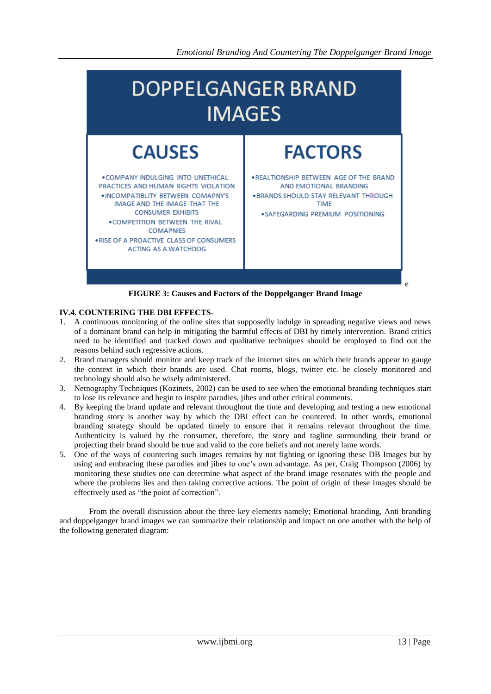

**FIGURE 3: Causes and Factors of the Doppelganger Brand Image**

## **IV.4. COUNTERING THE DBI EFFECTS-**

- 1. A continuous monitoring of the online sites that supposedly indulge in spreading negative views and news of a dominant brand can help in mitigating the harmful effects of DBI by timely intervention. Brand critics need to be identified and tracked down and qualitative techniques should be employed to find out the reasons behind such regressive actions.
- 2. Brand managers should monitor and keep track of the internet sites on which their brands appear to gauge the context in which their brands are used. Chat rooms, blogs, twitter etc. be closely monitored and technology should also be wisely administered.
- 3. Netnography Techniques (Kozinets, 2002) can be used to see when the emotional branding techniques start to lose its relevance and begin to inspire parodies, jibes and other critical comments.
- 4. By keeping the brand update and relevant throughout the time and developing and testing a new emotional branding story is another way by which the DBI effect can be countered. In other words, emotional branding strategy should be updated timely to ensure that it remains relevant throughout the time. Authenticity is valued by the consumer, therefore, the story and tagline surrounding their brand or projecting their brand should be true and valid to the core beliefs and not merely lame words.
- 5. One of the ways of countering such images remains by not fighting or ignoring these DB Images but by using and embracing these parodies and jibes to one's own advantage. As per, Craig Thompson (2006) by monitoring these studies one can determine what aspect of the brand image resonates with the people and where the problems lies and then taking corrective actions. The point of origin of these images should be effectively used as "the point of correction".

From the overall discussion about the three key elements namely; Emotional branding, Anti branding and doppelganger brand images we can summarize their relationship and impact on one another with the help of the following generated diagram: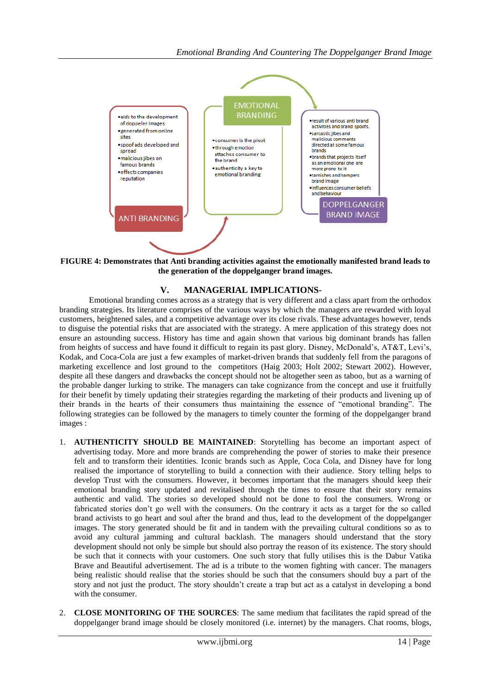

**FIGURE 4: Demonstrates that Anti branding activities against the emotionally manifested brand leads to the generation of the doppelganger brand images.**

## **V. MANAGERIAL IMPLICATIONS-**

Emotional branding comes across as a strategy that is very different and a class apart from the orthodox branding strategies. Its literature comprises of the various ways by which the managers are rewarded with loyal customers, heightened sales, and a competitive advantage over its close rivals. These advantages however, tends to disguise the potential risks that are associated with the strategy. A mere application of this strategy does not ensure an astounding success. History has time and again shown that various big dominant brands has fallen from heights of success and have found it difficult to regain its past glory. Disney, McDonald's, AT&T, Levi's, Kodak, and Coca-Cola are just a few examples of market-driven brands that suddenly fell from the paragons of marketing excellence and lost ground to the competitors (Haig 2003; Holt 2002; Stewart 2002). However, despite all these dangers and drawbacks the concept should not be altogether seen as taboo, but as a warning of the probable danger lurking to strike. The managers can take cognizance from the concept and use it fruitfully for their benefit by timely updating their strategies regarding the marketing of their products and livening up of their brands in the hearts of their consumers thus maintaining the essence of "emotional branding". The following strategies can be followed by the managers to timely counter the forming of the doppelganger brand images :

- 1. **AUTHENTICITY SHOULD BE MAINTAINED**: Storytelling has become an important aspect of advertising today. More and more brands are comprehending the power of stories to make their presence felt and to transform their identities. Iconic brands such as Apple, Coca Cola, and Disney have for long realised the importance of storytelling to build a connection with their audience. Story telling helps to develop Trust with the consumers. However, it becomes important that the managers should keep their emotional branding story updated and revitalised through the times to ensure that their story remains authentic and valid. The stories so developed should not be done to fool the consumers. Wrong or fabricated stories don"t go well with the consumers. On the contrary it acts as a target for the so called brand activists to go heart and soul after the brand and thus, lead to the development of the doppelganger images. The story generated should be fit and in tandem with the prevailing cultural conditions so as to avoid any cultural jamming and cultural backlash. The managers should understand that the story development should not only be simple but should also portray the reason of its existence. The story should be such that it connects with your customers. One such story that fully utilises this is the Dabur Vatika Brave and Beautiful advertisement. The ad is a tribute to the women fighting with cancer. The managers being realistic should realise that the stories should be such that the consumers should buy a part of the story and not just the product. The story shouldn't create a trap but act as a catalyst in developing a bond with the consumer.
- 2. **CLOSE MONITORING OF THE SOURCES**: The same medium that facilitates the rapid spread of the doppelganger brand image should be closely monitored (i.e. internet) by the managers. Chat rooms, blogs,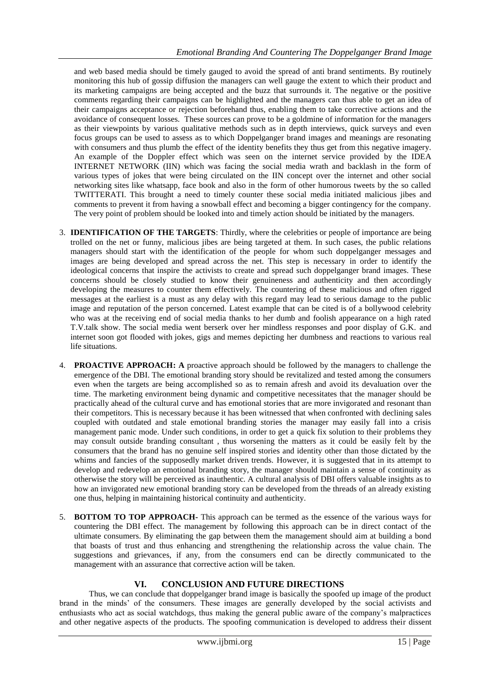and web based media should be timely gauged to avoid the spread of anti brand sentiments. By routinely monitoring this hub of gossip diffusion the managers can well gauge the extent to which their product and its marketing campaigns are being accepted and the buzz that surrounds it. The negative or the positive comments regarding their campaigns can be highlighted and the managers can thus able to get an idea of their campaigns acceptance or rejection beforehand thus, enabling them to take corrective actions and the avoidance of consequent losses. These sources can prove to be a goldmine of information for the managers as their viewpoints by various qualitative methods such as in depth interviews, quick surveys and even focus groups can be used to assess as to which Doppelganger brand images and meanings are resonating with consumers and thus plumb the effect of the identity benefits they thus get from this negative imagery. An example of the Doppler effect which was seen on the internet service provided by the IDEA INTERNET NETWORK (IIN) which was facing the social media wrath and backlash in the form of various types of jokes that were being circulated on the IIN concept over the internet and other social networking sites like whatsapp, face book and also in the form of other humorous tweets by the so called TWITTERATI. This brought a need to timely counter these social media initiated malicious jibes and comments to prevent it from having a snowball effect and becoming a bigger contingency for the company. The very point of problem should be looked into and timely action should be initiated by the managers.

- 3. **IDENTIFICATION OF THE TARGETS**: Thirdly, where the celebrities or people of importance are being trolled on the net or funny, malicious jibes are being targeted at them. In such cases, the public relations managers should start with the identification of the people for whom such doppelganger messages and images are being developed and spread across the net. This step is necessary in order to identify the ideological concerns that inspire the activists to create and spread such doppelganger brand images. These concerns should be closely studied to know their genuineness and authenticity and then accordingly developing the measures to counter them effectively. The countering of these malicious and often rigged messages at the earliest is a must as any delay with this regard may lead to serious damage to the public image and reputation of the person concerned. Latest example that can be cited is of a bollywood celebrity who was at the receiving end of social media thanks to her dumb and foolish appearance on a high rated T.V.talk show. The social media went berserk over her mindless responses and poor display of G.K. and internet soon got flooded with jokes, gigs and memes depicting her dumbness and reactions to various real life situations.
- 4. **PROACTIVE APPROACH: A** proactive approach should be followed by the managers to challenge the emergence of the DBI. The emotional branding story should be revitalized and tested among the consumers even when the targets are being accomplished so as to remain afresh and avoid its devaluation over the time. The marketing environment being dynamic and competitive necessitates that the manager should be practically ahead of the cultural curve and has emotional stories that are more invigorated and resonant than their competitors. This is necessary because it has been witnessed that when confronted with declining sales coupled with outdated and stale emotional branding stories the manager may easily fall into a crisis management panic mode. Under such conditions, in order to get a quick fix solution to their problems they may consult outside branding consultant , thus worsening the matters as it could be easily felt by the consumers that the brand has no genuine self inspired stories and identity other than those dictated by the whims and fancies of the supposedly market driven trends. However, it is suggested that in its attempt to develop and redevelop an emotional branding story, the manager should maintain a sense of continuity as otherwise the story will be perceived as inauthentic. A cultural analysis of DBI offers valuable insights as to how an invigorated new emotional branding story can be developed from the threads of an already existing one thus, helping in maintaining historical continuity and authenticity.
- 5. **BOTTOM TO TOP APPROACH-** This approach can be termed as the essence of the various ways for countering the DBI effect. The management by following this approach can be in direct contact of the ultimate consumers. By eliminating the gap between them the management should aim at building a bond that boasts of trust and thus enhancing and strengthening the relationship across the value chain. The suggestions and grievances, if any, from the consumers end can be directly communicated to the management with an assurance that corrective action will be taken.

# **VI. CONCLUSION AND FUTURE DIRECTIONS**

Thus, we can conclude that doppelganger brand image is basically the spoofed up image of the product brand in the minds" of the consumers. These images are generally developed by the social activists and enthusiasts who act as social watchdogs, thus making the general public aware of the company"s malpractices and other negative aspects of the products. The spoofing communication is developed to address their dissent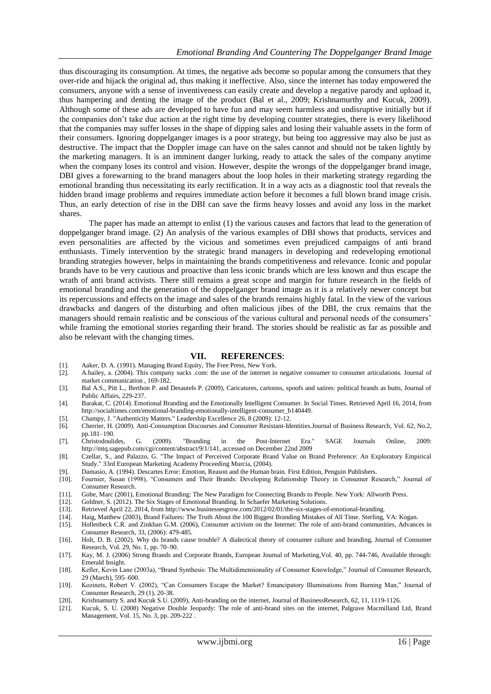thus discouraging its consumption. At times, the negative ads become so popular among the consumers that they over-ride and hijack the original ad, thus making it ineffective. Also, since the internet has today empowered the consumers, anyone with a sense of inventiveness can easily create and develop a negative parody and upload it, thus hampering and denting the image of the product (Bal et al., 2009; Krishnamurthy and Kucuk, 2009). Although some of these ads are developed to have fun and may seem harmless and undisruptive initially but if the companies don"t take due action at the right time by developing counter strategies, there is every likelihood that the companies may suffer losses in the shape of dipping sales and losing their valuable assets in the form of their consumers. Ignoring doppelganger images is a poor strategy, but being too aggressive may also be just as destructive. The impact that the Doppler image can have on the sales cannot and should not be taken lightly by the marketing managers. It is an imminent danger lurking, ready to attack the sales of the company anytime when the company loses its control and vision. However, despite the wrongs of the doppelganger brand image, DBI gives a forewarning to the brand managers about the loop holes in their marketing strategy regarding the emotional branding thus necessitating its early rectification. It in a way acts as a diagnostic tool that reveals the hidden brand image problems and requires immediate action before it becomes a full blown brand image crisis. Thus, an early detection of rise in the DBI can save the firms heavy losses and avoid any loss in the market shares.

The paper has made an attempt to enlist (1) the various causes and factors that lead to the generation of doppelganger brand image. (2) An analysis of the various examples of DBI shows that products, services and even personalities are affected by the vicious and sometimes even prejudiced campaigns of anti brand enthusiasts. Timely intervention by the strategic brand managers in developing and redeveloping emotional branding strategies however, helps in maintaining the brands competitiveness and relevance. Iconic and popular brands have to be very cautious and proactive than less iconic brands which are less known and thus escape the wrath of anti brand activists. There still remains a great scope and margin for future research in the fields of emotional branding and the generation of the doppelganger brand image as it is a relatively newer concept but its repercussions and effects on the image and sales of the brands remains highly fatal. In the view of the various drawbacks and dangers of the disturbing and often malicious jibes of the DBI, the crux remains that the managers should remain realistic and be conscious of the various cultural and personal needs of the consumers" while framing the emotional stories regarding their brand. The stories should be realistic as far as possible and also be relevant with the changing times.

#### **VII. REFERENCES**:

- [1]. Aaker, D. A. (1991). Managing Brand Equity, The Free Press, New York.<br>[2]. A.bailey, a. (2004). This company sucks .com: the use of the internet in
- [2]. A.bailey, a. (2004). This company sucks .com: the use of the internet in negative consumer to consumer articulations. Journal of market communication , 169-182.
- [3]. Bal A.S., Pitt L., Berthon P. and Desautels P. (2009), Caricatures, cartoons, spoofs and satires: political brands as butts, Journal of Public Affairs, 229-237.
- [4]. Barakat, C. (2014). Emotional Branding and the Emotionally Intelligent Consumer. In Social Times. Retrieved April 16, 2014, from [http://socialtimes.com/emotional-branding-emotionally-intelligent-consumer\\_b140449.](http://socialtimes.com/emotional-branding-emotionally-intelligent-consumer_b140449)
- [5]. Champy, J. "Authenticity Matters." Leadership Excellence 26, 8 (2009): 12-12.
- [6]. Cherrier, H. (2009). Anti-Consumption Discourses and Consumer Resistant-Identities.Journal of Business Research, Vol. 62, No.2, pp.181–190.
- [7]. Christodoulides, G. (2009). "Branding in the Post-Internet Era." SAGE Journals Online, 2009: http://mtq.sagepub.com/cgi/content/abstract/9/1/141, accessed on December 22nd 2009
- [8]. Czellar, S., and Palazzo, G. "The Impact of Perceived Corporate Brand Value on Brand Preference: An Exploratory Empirical Study." 33rd European Marketing Academy Proceeding Murcia, (2004).
- [9]. Damasio, A. (1994)[. Descartes Error:](http://www.amazon.com/Descartes-Error-Emotion-Reason-Human/dp/014303622X) Emotion, Reason and the Human brain. First Edition, Penguin Publishers.
- [10]. Fournier, Susan (1998), "Consumers and Their Brands: Developing Relationship Theory in Consumer Research," Journal of Consumer Research.
- [11]. Gobe, Marc (2001), Emotional Branding: The New Paradigm for Connecting Brands to People. New York: Allworth Press.
- [12]. Goldner, S. (2012). The Six Stages of Emotional Branding. In Schaefer Marketing Solutions.
- [13]. Retrieved April 22, 2014, fro[m http://www.businessesgrow.com/2012/02/01/the-six-stages-of-emotional-branding.](http://www.businessesgrow.com/2012/02/01/the-six-stages-of-emotional-branding)
- [14]. Haig, Matthew (2003), Brand Failures: The Truth About the 100 Biggest Branding Mistakes of All Time. Sterling, VA: Kogan.
- [15]. Hollenbeck C.R. and Zinkhan G.M. (2006), Consumer activism on the Internet: The role of anti-brand communities, Advances in Consumer Research, 33, (2006): 479-485.
- [16]. Holt, D. B. (2002). Why do brands cause trouble? A dialectical theory of consumer culture and branding, Journal of Consumer Research, Vol. 29, No. 1, pp. 70–90.
- [17]. Kay, M. J. (2006) Strong Brands and Corporate Brands, European Journal of Marketing,Vol. 40, pp. 744-746, Available through: Emerald Insight.
- [18]. Keller, Kevin Lane (2003a), "Brand Synthesis: The Multidimensionality of Consumer Knowledge," Journal of Consumer Research, 29 (March), 595–600.
- [19]. Kozinets, Robert V. (2002), "Can Consumers Escape the Market? Emancipatory Illuminations from Burning Man," Journal of Consumer Research, 29 (1), 20-38.
- [20]. Krishnamurty S. and Kucuk S.U. (2009), Anti-branding on the internet, Journal of BusinessResearch, 62, 11, 1119-1126.
- [21]. Kucuk, S. U. (2008) Negative Double Jeopardy: The role of anti-brand sites on the internet, Palgrave Macmilland Ltd, Brand Management, Vol. 15, No. 3, pp. 209-222 .